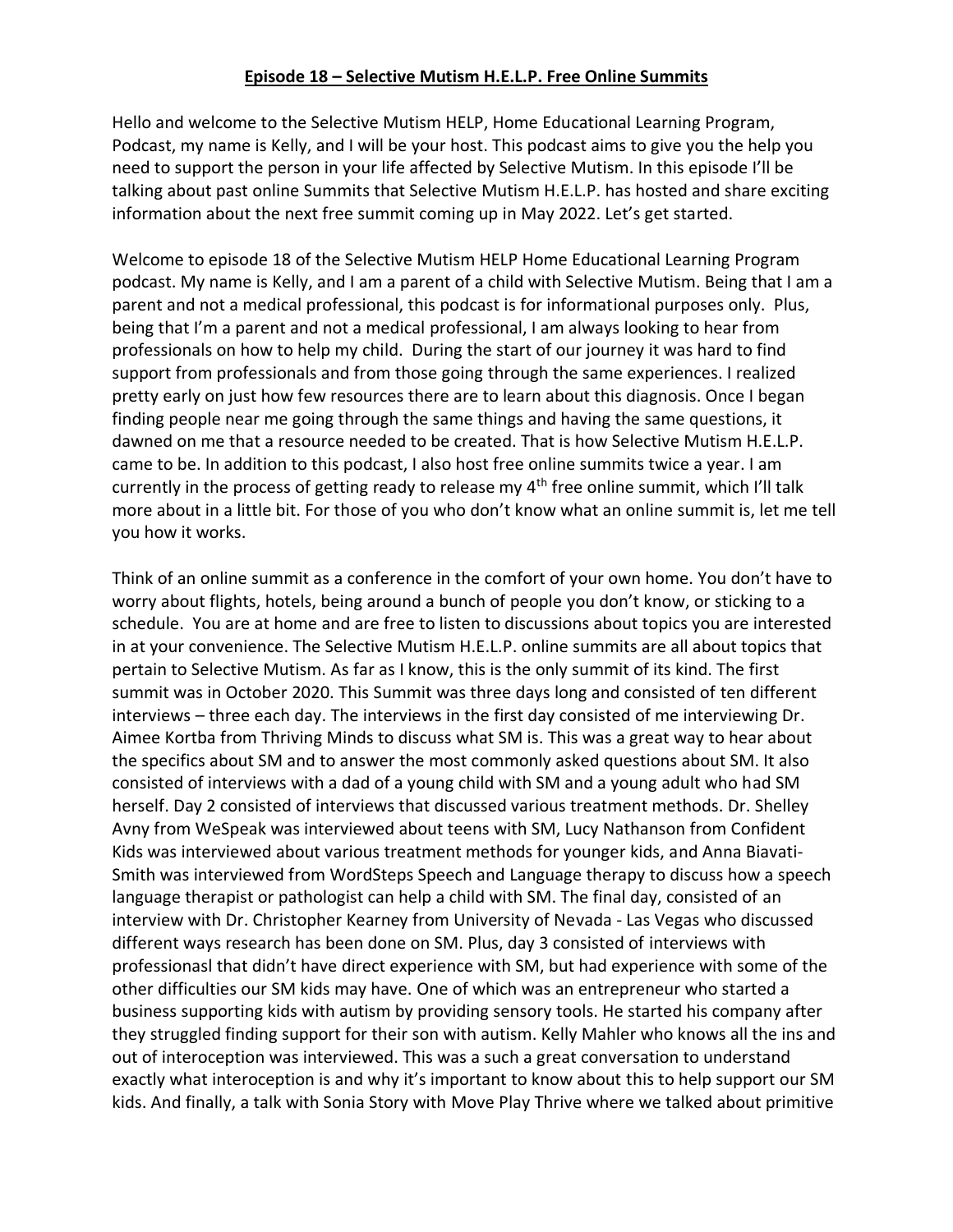## **Episode 18 – Selective Mutism H.E.L.P. Free Online Summits**

Hello and welcome to the Selective Mutism HELP, Home Educational Learning Program, Podcast, my name is Kelly, and I will be your host. This podcast aims to give you the help you need to support the person in your life affected by Selective Mutism. In this episode I'll be talking about past online Summits that Selective Mutism H.E.L.P. has hosted and share exciting information about the next free summit coming up in May 2022. Let's get started.

Welcome to episode 18 of the Selective Mutism HELP Home Educational Learning Program podcast. My name is Kelly, and I am a parent of a child with Selective Mutism. Being that I am a parent and not a medical professional, this podcast is for informational purposes only. Plus, being that I'm a parent and not a medical professional, I am always looking to hear from professionals on how to help my child. During the start of our journey it was hard to find support from professionals and from those going through the same experiences. I realized pretty early on just how few resources there are to learn about this diagnosis. Once I began finding people near me going through the same things and having the same questions, it dawned on me that a resource needed to be created. That is how Selective Mutism H.E.L.P. came to be. In addition to this podcast, I also host free online summits twice a year. I am currently in the process of getting ready to release my 4<sup>th</sup> free online summit, which I'll talk more about in a little bit. For those of you who don't know what an online summit is, let me tell you how it works.

Think of an online summit as a conference in the comfort of your own home. You don't have to worry about flights, hotels, being around a bunch of people you don't know, or sticking to a schedule. You are at home and are free to listen to discussions about topics you are interested in at your convenience. The Selective Mutism H.E.L.P. online summits are all about topics that pertain to Selective Mutism. As far as I know, this is the only summit of its kind. The first summit was in October 2020. This Summit was three days long and consisted of ten different interviews – three each day. The interviews in the first day consisted of me interviewing Dr. Aimee Kortba from Thriving Minds to discuss what SM is. This was a great way to hear about the specifics about SM and to answer the most commonly asked questions about SM. It also consisted of interviews with a dad of a young child with SM and a young adult who had SM herself. Day 2 consisted of interviews that discussed various treatment methods. Dr. Shelley Avny from WeSpeak was interviewed about teens with SM, Lucy Nathanson from Confident Kids was interviewed about various treatment methods for younger kids, and Anna Biavati-Smith was interviewed from WordSteps Speech and Language therapy to discuss how a speech language therapist or pathologist can help a child with SM. The final day, consisted of an interview with Dr. Christopher Kearney from University of Nevada - Las Vegas who discussed different ways research has been done on SM. Plus, day 3 consisted of interviews with professionasl that didn't have direct experience with SM, but had experience with some of the other difficulties our SM kids may have. One of which was an entrepreneur who started a business supporting kids with autism by providing sensory tools. He started his company after they struggled finding support for their son with autism. Kelly Mahler who knows all the ins and out of interoception was interviewed. This was a such a great conversation to understand exactly what interoception is and why it's important to know about this to help support our SM kids. And finally, a talk with Sonia Story with Move Play Thrive where we talked about primitive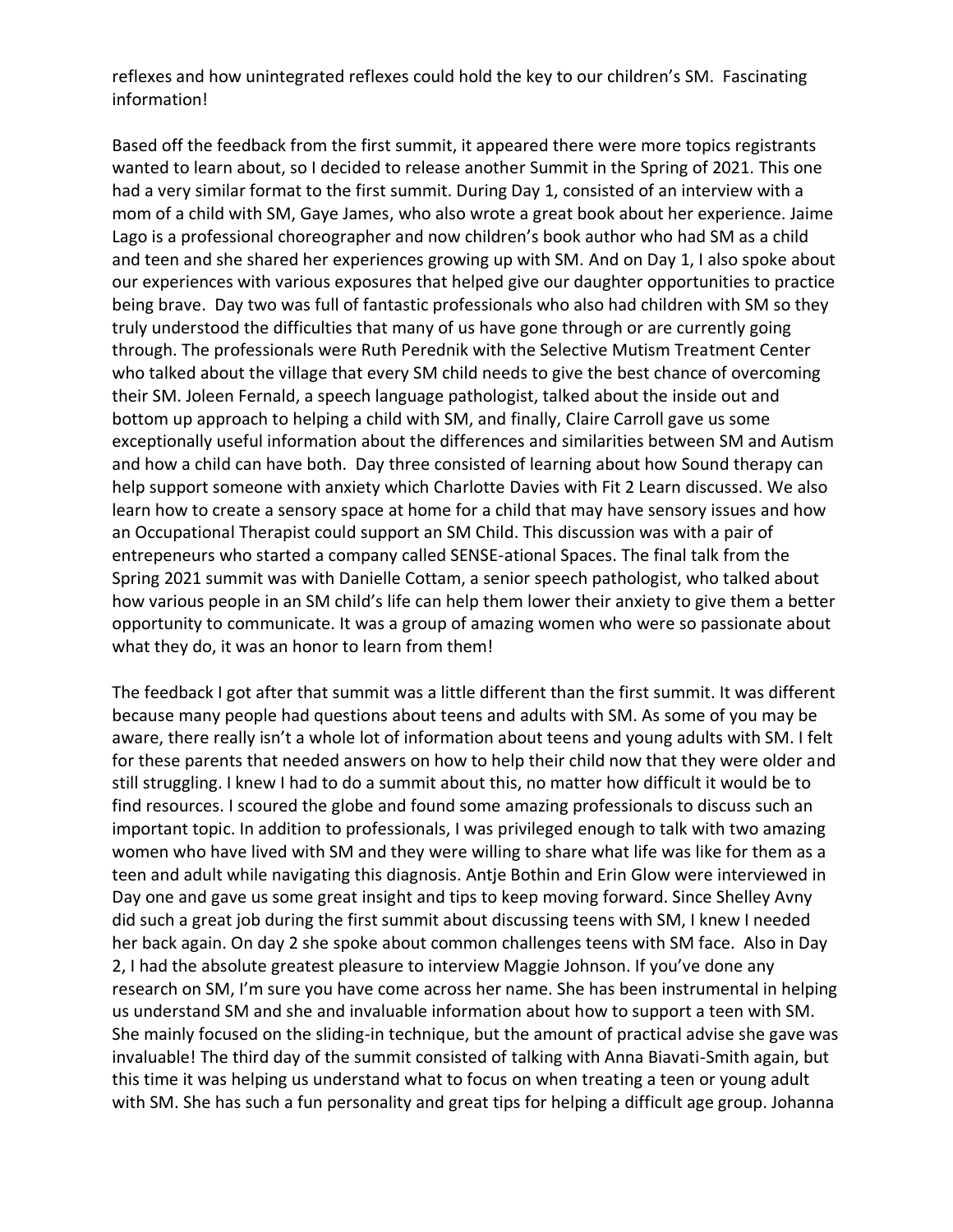reflexes and how unintegrated reflexes could hold the key to our children's SM. Fascinating information!

Based off the feedback from the first summit, it appeared there were more topics registrants wanted to learn about, so I decided to release another Summit in the Spring of 2021. This one had a very similar format to the first summit. During Day 1, consisted of an interview with a mom of a child with SM, Gaye James, who also wrote a great book about her experience. Jaime Lago is a professional choreographer and now children's book author who had SM as a child and teen and she shared her experiences growing up with SM. And on Day 1, I also spoke about our experiences with various exposures that helped give our daughter opportunities to practice being brave. Day two was full of fantastic professionals who also had children with SM so they truly understood the difficulties that many of us have gone through or are currently going through. The professionals were Ruth Perednik with the Selective Mutism Treatment Center who talked about the village that every SM child needs to give the best chance of overcoming their SM. Joleen Fernald, a speech language pathologist, talked about the inside out and bottom up approach to helping a child with SM, and finally, Claire Carroll gave us some exceptionally useful information about the differences and similarities between SM and Autism and how a child can have both. Day three consisted of learning about how Sound therapy can help support someone with anxiety which Charlotte Davies with Fit 2 Learn discussed. We also learn how to create a sensory space at home for a child that may have sensory issues and how an Occupational Therapist could support an SM Child. This discussion was with a pair of entrepeneurs who started a company called SENSE-ational Spaces. The final talk from the Spring 2021 summit was with Danielle Cottam, a senior speech pathologist, who talked about how various people in an SM child's life can help them lower their anxiety to give them a better opportunity to communicate. It was a group of amazing women who were so passionate about what they do, it was an honor to learn from them!

The feedback I got after that summit was a little different than the first summit. It was different because many people had questions about teens and adults with SM. As some of you may be aware, there really isn't a whole lot of information about teens and young adults with SM. I felt for these parents that needed answers on how to help their child now that they were older and still struggling. I knew I had to do a summit about this, no matter how difficult it would be to find resources. I scoured the globe and found some amazing professionals to discuss such an important topic. In addition to professionals, I was privileged enough to talk with two amazing women who have lived with SM and they were willing to share what life was like for them as a teen and adult while navigating this diagnosis. Antje Bothin and Erin Glow were interviewed in Day one and gave us some great insight and tips to keep moving forward. Since Shelley Avny did such a great job during the first summit about discussing teens with SM, I knew I needed her back again. On day 2 she spoke about common challenges teens with SM face. Also in Day 2, I had the absolute greatest pleasure to interview Maggie Johnson. If you've done any research on SM, I'm sure you have come across her name. She has been instrumental in helping us understand SM and she and invaluable information about how to support a teen with SM. She mainly focused on the sliding-in technique, but the amount of practical advise she gave was invaluable! The third day of the summit consisted of talking with Anna Biavati-Smith again, but this time it was helping us understand what to focus on when treating a teen or young adult with SM. She has such a fun personality and great tips for helping a difficult age group. Johanna